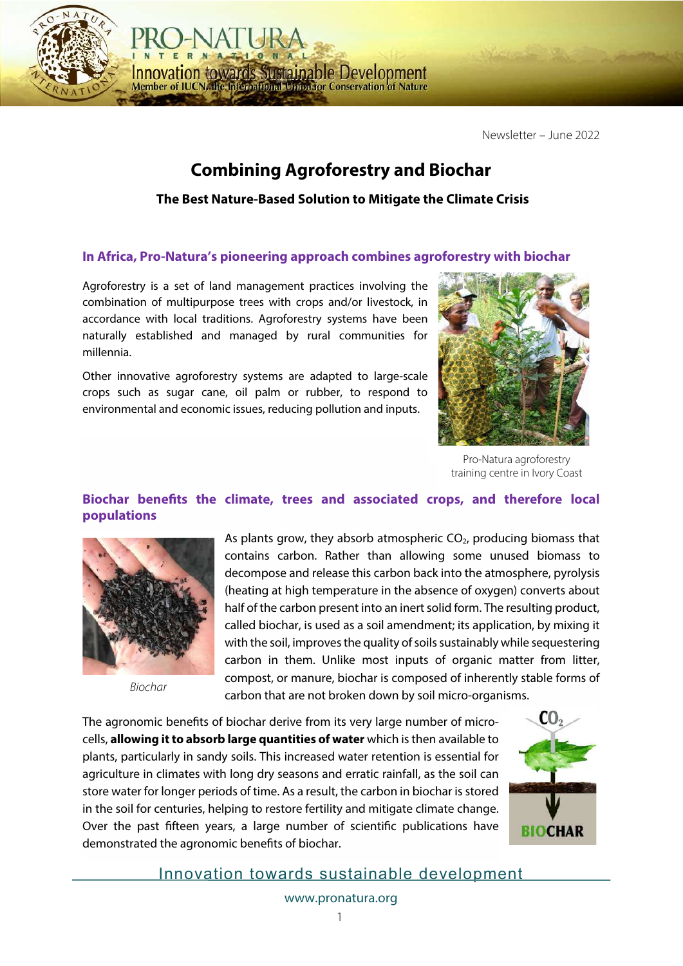Newsletter – June 2022

# **Combining Agroforestry and Biochar**

**The Best Nature-Based Solution to Mitigate the Climate Crisis**

### **In Africa, Pro-Natura's pioneering approach combines agroforestry with biochar**

Agroforestry is a set of land management practices involving the combination of multipurpose trees with crops and/or livestock, in accordance with local traditions. Agroforestry systems have been naturally established and managed by rural communities for millennia.

**Innovation towards Sustainable Development** Member of IUCN, the International Union for Conservation of Nature

Other innovative agroforestry systems are adapted to large-scale crops such as sugar cane, oil palm or rubber, to respond to environmental and economic issues, reducing pollution and inputs.



Pro-Natura agroforestry training centre in Ivory Coast

## **Biochar benefts the climate, trees and associated crops, and therefore local populations**



*Biochar*

As plants grow, they absorb atmospheric  $CO<sub>2</sub>$ , producing biomass that contains carbon. Rather than allowing some unused biomass to decompose and release this carbon back into the atmosphere, pyrolysis (heating at high temperature in the absence of oxygen) converts about half of the carbon present into an inert solid form. The resulting product, called biochar, is used as a soil amendment; its application, by mixing it with the soil, improves the quality of soils sustainably while sequestering carbon in them. Unlike most inputs of organic matter from litter, compost, or manure, biochar is composed of inherently stable forms of carbon that are not broken down by soil micro-organisms.

The agronomic benefts of biochar derive from its very large number of microcells, **allowing it to absorb large quantities of water** which is then available to plants, particularly in sandy soils. This increased water retention is essential for agriculture in climates with long dry seasons and erratic rainfall, as the soil can store water for longer periods of time. As a result, the carbon in biochar is stored in the soil for centuries, helping to restore fertility and mitigate climate change. Over the past ffteen years, a large number of scientifc publications have demonstrated the agronomic benefts of biochar.



Innovation towards sustainable development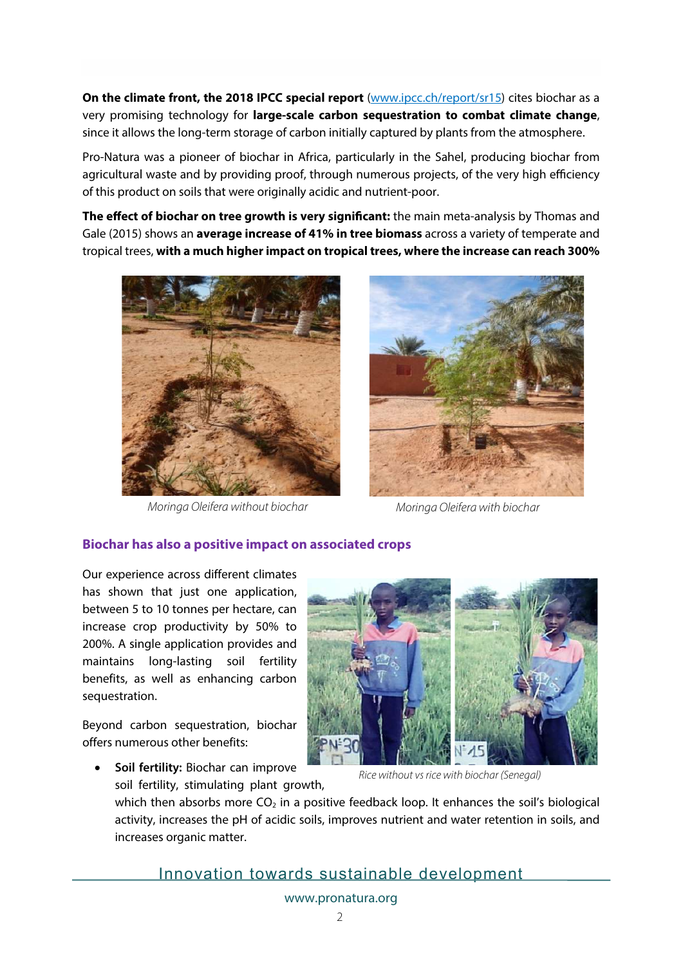**On the climate front, the 2018 IPCC special report** (www.ipcc.ch/report/sr15) cites biochar as a very promising technology for **large-scale carbon sequestration to combat climate change**, since it allows the long-term storage of carbon initially captured by plants from the atmosphere.

Pro-Natura was a pioneer of biochar in Africa, particularly in the Sahel, producing biochar from agricultural waste and by providing proof, through numerous projects, of the very high efficiency of this product on soils that were originally acidic and nutrient-poor.

**The effect of biochar on tree growth is very signifcant:** the main meta-analysis by Thomas and Gale (2015) shows an **average increase of 41% in tree biomass** across a variety of temperate and tropical trees, **with a much higherimpact on tropical trees, where the increase can reach 300%**



*Moringa Oleifera without biochar Moringa Oleifera with biochar*



#### **Biochar has also a positive impact on associated crops**

Our experience across different climates has shown that just one application, between 5 to 10 tonnes per hectare, can increase crop productivity by 50% to 200%. A single application provides and maintains long-lasting soil fertility benefits, as well as enhancing carbon sequestration.

Beyond carbon sequestration, biochar offers numerous other benefits:



• **Soil fertility:** Biochar can improve soil fertility, stimulating plant growth,

*Rice without vs rice with biochar (Senegal)*

which then absorbs more  $CO<sub>2</sub>$  in a positive feedback loop. It enhances the soil's biological activity, increases the pH of acidic soils, improves nutrient and water retention in soils, and increases organic matter.

Innovation towards sustainable development

www.pronatura.org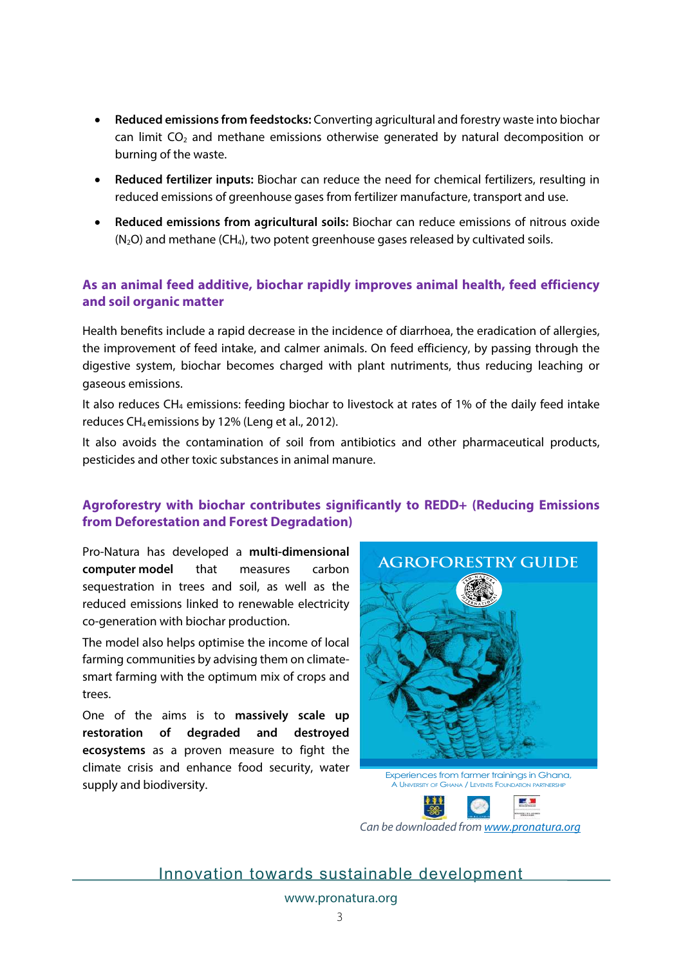- **Reduced emissions from feedstocks:** Converting agricultural and forestry waste into biochar can limit  $CO<sub>2</sub>$  and methane emissions otherwise generated by natural decomposition or burning of the waste.
- **Reduced fertilizer inputs:** Biochar can reduce the need for chemical fertilizers, resulting in reduced emissions of greenhouse gases from fertilizer manufacture, transport and use.
- **Reduced emissions from agricultural soils:** Biochar can reduce emissions of nitrous oxide  $(N_2O)$  and methane (CH<sub>4</sub>), two potent greenhouse gases released by cultivated soils.

## **As an animal feed additive, biochar rapidly improves animal health, feed efficiency and soil organic matter**

Health benefits include a rapid decrease in the incidence of diarrhoea, the eradication of allergies, the improvement of feed intake, and calmer animals. On feed efficiency, by passing through the digestive system, biochar becomes charged with plant nutriments, thus reducing leaching or gaseous emissions.

It also reduces CH4 emissions: feeding biochar to livestock at rates of 1% of the daily feed intake reduces CH<sub>4</sub> emissions by 12% (Leng et al., 2012).

It also avoids the contamination of soil from antibiotics and other pharmaceutical products, pesticides and other toxic substances in animal manure.

## **Agroforestry with biochar contributes significantly to REDD+ (Reducing Emissions from Deforestation and Forest Degradation)**

Pro-Natura has developed a **multi-dimensional computer model** that measures carbon sequestration in trees and soil, as well as the reduced emissions linked to renewable electricity co-generation with biochar production.

The model also helps optimise the income of local farming communities by advising them on climatesmart farming with the optimum mix of crops and trees.

One of the aims is to **massively scale up restoration of degraded and destroyed ecosystems** as a proven measure to fight the climate crisis and enhance food security, water supply and biodiversity.



Experiences from farmer trainings in Ghana, A UNIVERSITY OF GHANA / LEVENTIS FOUNDATION PARTNERS



*Can be downloaded from www.pronatura.org*

Innovation towards sustainable development

www.pronatura.org